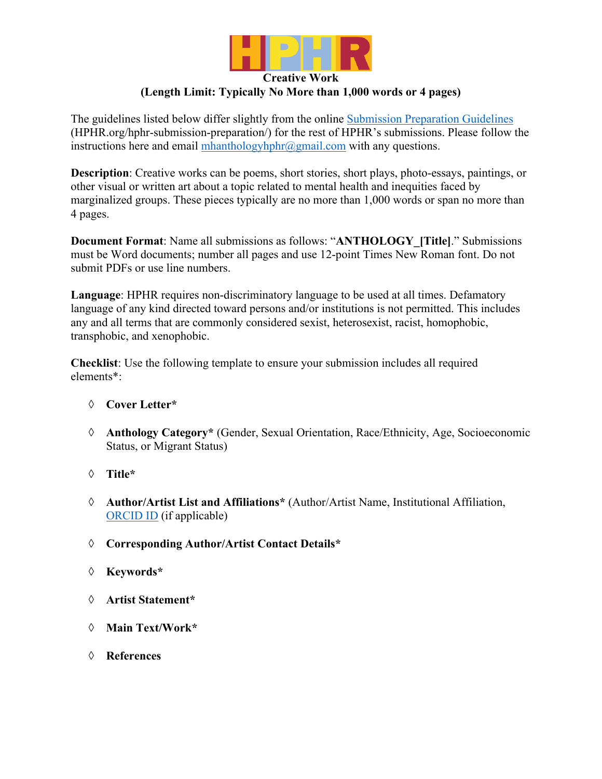

# **Creative Work (Length Limit: Typically No More than 1,000 words or 4 pages)**

The guidelines listed below differ slightly from the online Submission Preparation Guidelines (HPHR.org/hphr-submission-preparation/) for the rest of HPHR's submissions. Please follow the instructions here and email  $\frac{\text{mhanthology} \cdot \text{m} \cdot \text{m} \cdot \text{m} \cdot \text{m}}{m \cdot \text{m} \cdot \text{m} \cdot \text{m} \cdot \text{m} \cdot \text{m} \cdot \text{m} \cdot \text{m} \cdot \text{m} \cdot \text{m}}$  with any questions.

**Description**: Creative works can be poems, short stories, short plays, photo-essays, paintings, or other visual or written art about a topic related to mental health and inequities faced by marginalized groups. These pieces typically are no more than 1,000 words or span no more than 4 pages.

**Document Format**: Name all submissions as follows: "**ANTHOLOGY\_[Title]**." Submissions must be Word documents; number all pages and use 12-point Times New Roman font. Do not submit PDFs or use line numbers.

**Language**: HPHR requires non-discriminatory language to be used at all times. Defamatory language of any kind directed toward persons and/or institutions is not permitted. This includes any and all terms that are commonly considered sexist, heterosexist, racist, homophobic, transphobic, and xenophobic.

**Checklist**: Use the following template to ensure your submission includes all required elements\*:

## à **Cover Letter\***

- à **Anthology Category\*** (Gender, Sexual Orientation, Race/Ethnicity, Age, Socioeconomic Status, or Migrant Status)
- à **Title\***
- à **Author/Artist List and Affiliations\*** (Author/Artist Name, Institutional Affiliation, ORCID ID (if applicable)
- à **Corresponding Author/Artist Contact Details\***
- à **Keywords\***
- à **Artist Statement\***
- à **Main Text/Work\***
- à **References**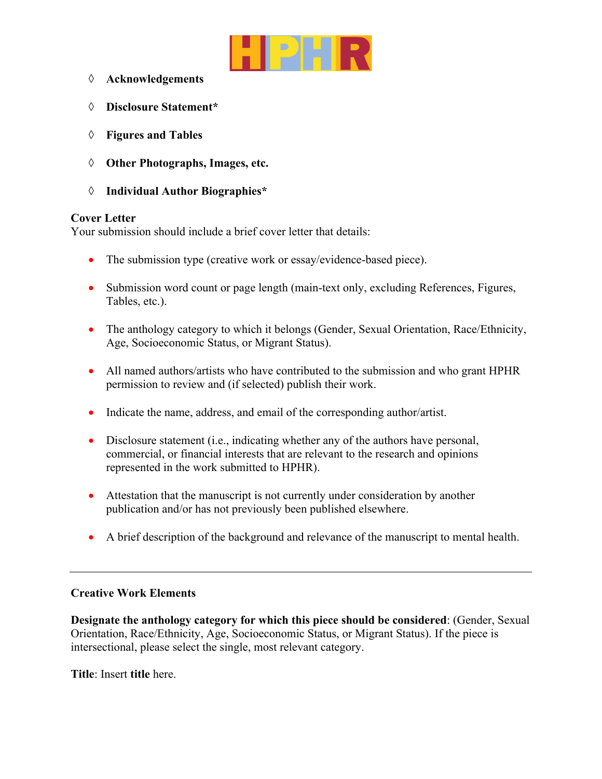

- à **Acknowledgements**
- à **Disclosure Statement\***
- à **Figures and Tables**
- à **Other Photographs, Images, etc.**
- à **Individual Author Biographies\***

### **Cover Letter**

Your submission should include a brief cover letter that details:

- The submission type (creative work or essay/evidence-based piece).
- Submission word count or page length (main-text only, excluding References, Figures, Tables, etc.).
- The anthology category to which it belongs (Gender, Sexual Orientation, Race/Ethnicity, Age, Socioeconomic Status, or Migrant Status).
- All named authors/artists who have contributed to the submission and who grant HPHR permission to review and (if selected) publish their work.
- Indicate the name, address, and email of the corresponding author/artist.
- Disclosure statement (i.e., indicating whether any of the authors have personal, commercial, or financial interests that are relevant to the research and opinions represented in the work submitted to HPHR).
- Attestation that the manuscript is not currently under consideration by another publication and/or has not previously been published elsewhere.
- A brief description of the background and relevance of the manuscript to mental health.

## **Creative Work Elements**

**Designate the anthology category for which this piece should be considered**: (Gender, Sexual Orientation, Race/Ethnicity, Age, Socioeconomic Status, or Migrant Status). If the piece is intersectional, please select the single, most relevant category.

**Title**: Insert **title** here.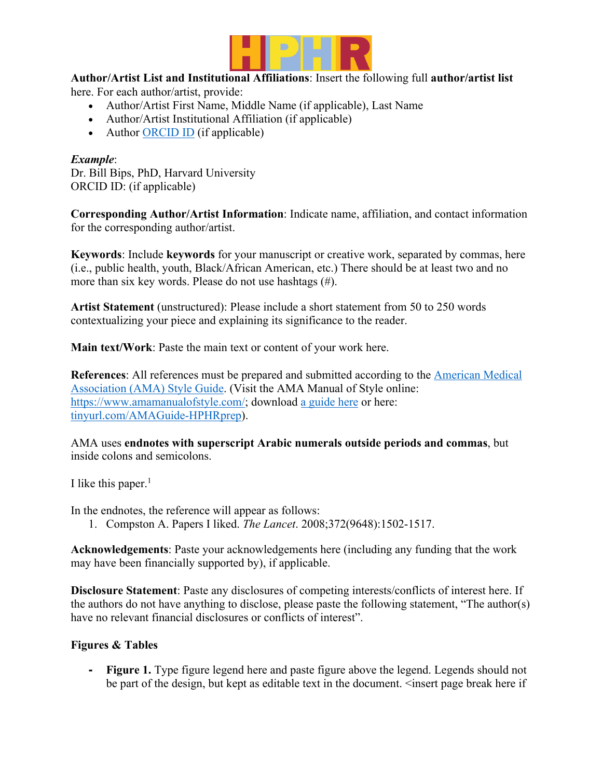

**Author/Artist List and Institutional Affiliations**: Insert the following full **author/artist list** here. For each author/artist, provide:

- Author/Artist First Name, Middle Name (if applicable), Last Name
- Author/Artist Institutional Affiliation (if applicable)
- Author ORCID ID (if applicable)

# *Example*:

Dr. Bill Bips, PhD, Harvard University ORCID ID: (if applicable)

**Corresponding Author/Artist Information**: Indicate name, affiliation, and contact information for the corresponding author/artist.

**Keywords**: Include **keywords** for your manuscript or creative work, separated by commas, here (i.e., public health, youth, Black/African American, etc.) There should be at least two and no more than six key words. Please do not use hashtags (#).

**Artist Statement** (unstructured): Please include a short statement from 50 to 250 words contextualizing your piece and explaining its significance to the reader.

**Main text/Work**: Paste the main text or content of your work here.

**References**: All references must be prepared and submitted according to the American Medical Association (AMA) Style Guide. (Visit the AMA Manual of Style online: https://www.amamanualofstyle.com/; download a guide here or here: tinyurl.com/AMAGuide-HPHRprep).

AMA uses **endnotes with superscript Arabic numerals outside periods and commas**, but inside colons and semicolons.

I like this paper. $<sup>1</sup>$ </sup>

In the endnotes, the reference will appear as follows:

1. Compston A. Papers I liked. *The Lancet*. 2008;372(9648):1502-1517.

**Acknowledgements**: Paste your acknowledgements here (including any funding that the work may have been financially supported by), if applicable.

**Disclosure Statement**: Paste any disclosures of competing interests/conflicts of interest here. If the authors do not have anything to disclose, please paste the following statement, "The author(s) have no relevant financial disclosures or conflicts of interest".

## **Figures & Tables**

**- Figure 1.** Type figure legend here and paste figure above the legend. Legends should not be part of the design, but kept as editable text in the document.  $\leq$  insert page break here if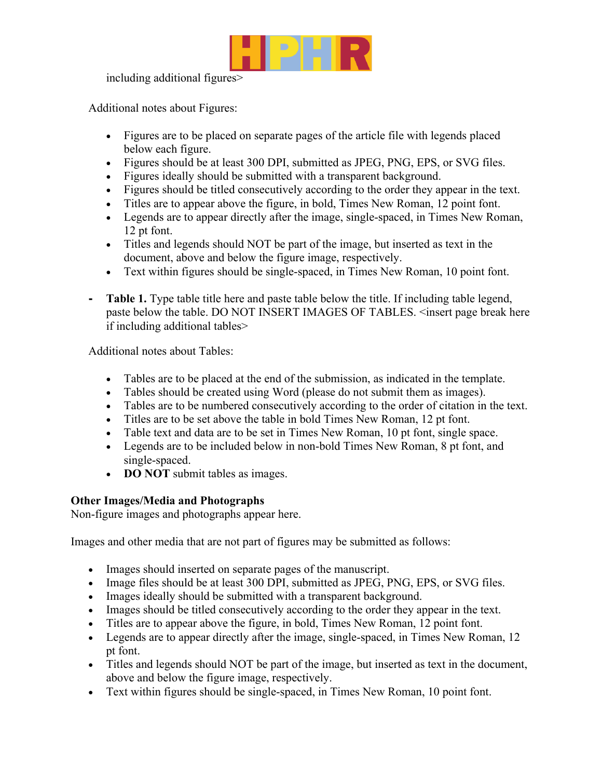

including additional figures>

Additional notes about Figures:

- Figures are to be placed on separate pages of the article file with legends placed below each figure.
- Figures should be at least 300 DPI, submitted as JPEG, PNG, EPS, or SVG files.
- Figures ideally should be submitted with a transparent background.
- Figures should be titled consecutively according to the order they appear in the text.
- Titles are to appear above the figure, in bold, Times New Roman, 12 point font.
- Legends are to appear directly after the image, single-spaced, in Times New Roman, 12 pt font.
- Titles and legends should NOT be part of the image, but inserted as text in the document, above and below the figure image, respectively.
- Text within figures should be single-spaced, in Times New Roman, 10 point font.
- **- Table 1.** Type table title here and paste table below the title. If including table legend, paste below the table. DO NOT INSERT IMAGES OF TABLES. <insert page break here if including additional tables>

Additional notes about Tables:

- Tables are to be placed at the end of the submission, as indicated in the template.
- Tables should be created using Word (please do not submit them as images).
- Tables are to be numbered consecutively according to the order of citation in the text.
- Titles are to be set above the table in bold Times New Roman, 12 pt font.
- Table text and data are to be set in Times New Roman, 10 pt font, single space.
- Legends are to be included below in non-bold Times New Roman, 8 pt font, and single-spaced.
- **DO NOT** submit tables as images.

#### **Other Images/Media and Photographs**

Non-figure images and photographs appear here.

Images and other media that are not part of figures may be submitted as follows:

- Images should inserted on separate pages of the manuscript.
- Image files should be at least 300 DPI, submitted as JPEG, PNG, EPS, or SVG files.
- Images ideally should be submitted with a transparent background.
- Images should be titled consecutively according to the order they appear in the text.
- Titles are to appear above the figure, in bold, Times New Roman, 12 point font.
- Legends are to appear directly after the image, single-spaced, in Times New Roman, 12 pt font.
- Titles and legends should NOT be part of the image, but inserted as text in the document, above and below the figure image, respectively.
- Text within figures should be single-spaced, in Times New Roman, 10 point font.